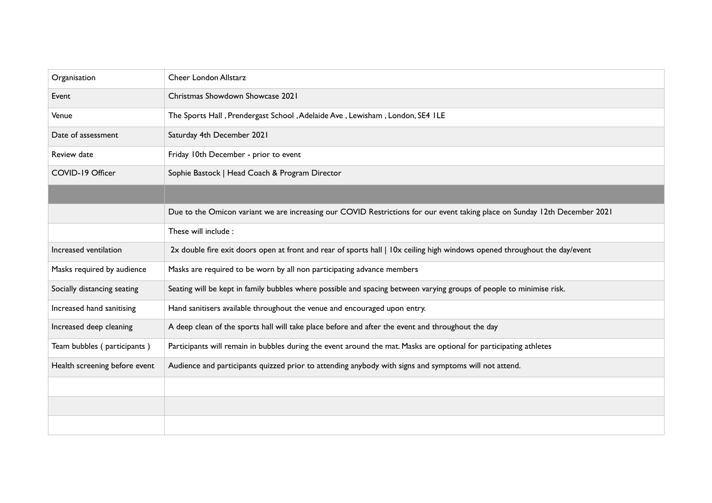| Organisation                  | Cheer London Allstarz                                                                                                      |
|-------------------------------|----------------------------------------------------------------------------------------------------------------------------|
| Event                         | Christmas Showdown Showcase 2021                                                                                           |
| Venue                         | The Sports Hall, Prendergast School, Adelaide Ave, Lewisham, London, SE4 ILE                                               |
| Date of assessment            | Saturday 4th December 2021                                                                                                 |
| Review date                   | Friday 10th December - prior to event                                                                                      |
| COVID-19 Officer              | Sophie Bastock   Head Coach & Program Director                                                                             |
|                               |                                                                                                                            |
|                               | Due to the Omicon variant we are increasing our COVID Restrictions for our event taking place on Sunday 12th December 2021 |
|                               | These will include :                                                                                                       |
| Increased ventilation         | 2x double fire exit doors open at front and rear of sports hall   IOx ceiling high windows opened throughout the day/event |
| Masks required by audience    | Masks are required to be worn by all non participating advance members                                                     |
| Socially distancing seating   | Seating will be kept in family bubbles where possible and spacing between varying groups of people to minimise risk.       |
| Increased hand sanitising     | Hand sanitisers available throughout the venue and encouraged upon entry.                                                  |
| Increased deep cleaning       | A deep clean of the sports hall will take place before and after the event and throughout the day                          |
| Team bubbles (participants)   | Participants will remain in bubbles during the event around the mat. Masks are optional for participating athletes         |
| Health screening before event | Audience and participants quizzed prior to attending anybody with signs and symptoms will not attend.                      |
|                               |                                                                                                                            |
|                               |                                                                                                                            |
|                               |                                                                                                                            |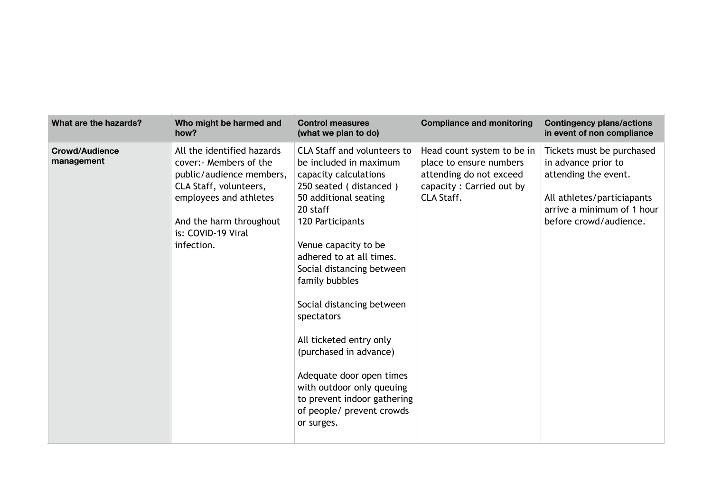| What are the hazards?               | Who might be harmed and<br>how?                                                                                                                                                                    | <b>Control measures</b><br>(what we plan to do)                                                                                                                                                                                                                                                                                                                                                                                                                                                                | <b>Compliance and monitoring</b>                                                                                           | <b>Contingency plans/actions</b><br>in event of non compliance                                                                                                 |
|-------------------------------------|----------------------------------------------------------------------------------------------------------------------------------------------------------------------------------------------------|----------------------------------------------------------------------------------------------------------------------------------------------------------------------------------------------------------------------------------------------------------------------------------------------------------------------------------------------------------------------------------------------------------------------------------------------------------------------------------------------------------------|----------------------------------------------------------------------------------------------------------------------------|----------------------------------------------------------------------------------------------------------------------------------------------------------------|
| <b>Crowd/Audience</b><br>management | All the identified hazards<br>cover: Members of the<br>public/audience members,<br>CLA Staff, volunteers,<br>employees and athletes<br>And the harm throughout<br>is: COVID-19 Viral<br>infection. | <b>CLA Staff and volunteers to</b><br>be included in maximum<br>capacity calculations<br>250 seated (distanced)<br>50 additional seating<br>20 staff<br>120 Participants<br>Venue capacity to be<br>adhered to at all times.<br>Social distancing between<br>family bubbles<br>Social distancing between<br>spectators<br>All ticketed entry only<br>(purchased in advance)<br>Adequate door open times<br>with outdoor only queuing<br>to prevent indoor gathering<br>of people/ prevent crowds<br>or surges. | Head count system to be in<br>place to ensure numbers<br>attending do not exceed<br>capacity: Carried out by<br>CLA Staff. | Tickets must be purchased<br>in advance prior to<br>attending the event.<br>All athletes/particiapants<br>arrive a minimum of 1 hour<br>before crowd/audience. |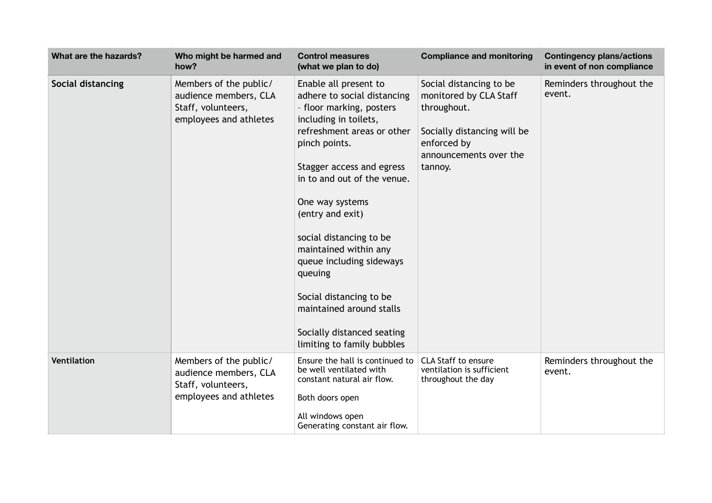| What are the hazards? | Who might be harmed and<br>how?                                                                 | <b>Control measures</b><br>(what we plan to do)                                                                                                                                                                                                                                                                                                                                                                                                                           | <b>Compliance and monitoring</b>                                                                                                                    | <b>Contingency plans/actions</b><br>in event of non compliance |
|-----------------------|-------------------------------------------------------------------------------------------------|---------------------------------------------------------------------------------------------------------------------------------------------------------------------------------------------------------------------------------------------------------------------------------------------------------------------------------------------------------------------------------------------------------------------------------------------------------------------------|-----------------------------------------------------------------------------------------------------------------------------------------------------|----------------------------------------------------------------|
| Social distancing     | Members of the public/<br>audience members, CLA<br>Staff, volunteers,<br>employees and athletes | Enable all present to<br>adhere to social distancing<br>- floor marking, posters<br>including in toilets,<br>refreshment areas or other<br>pinch points.<br>Stagger access and egress<br>in to and out of the venue.<br>One way systems<br>(entry and exit)<br>social distancing to be<br>maintained within any<br>queue including sideways<br>queuing<br>Social distancing to be<br>maintained around stalls<br>Socially distanced seating<br>limiting to family bubbles | Social distancing to be<br>monitored by CLA Staff<br>throughout.<br>Socially distancing will be<br>enforced by<br>announcements over the<br>tannoy. | Reminders throughout the<br>event.                             |
| <b>Ventilation</b>    | Members of the public/<br>audience members, CLA<br>Staff, volunteers,<br>employees and athletes | Ensure the hall is continued to<br>be well ventilated with<br>constant natural air flow.<br>Both doors open<br>All windows open<br>Generating constant air flow.                                                                                                                                                                                                                                                                                                          | <b>CLA Staff to ensure</b><br>ventilation is sufficient<br>throughout the day                                                                       | Reminders throughout the<br>event.                             |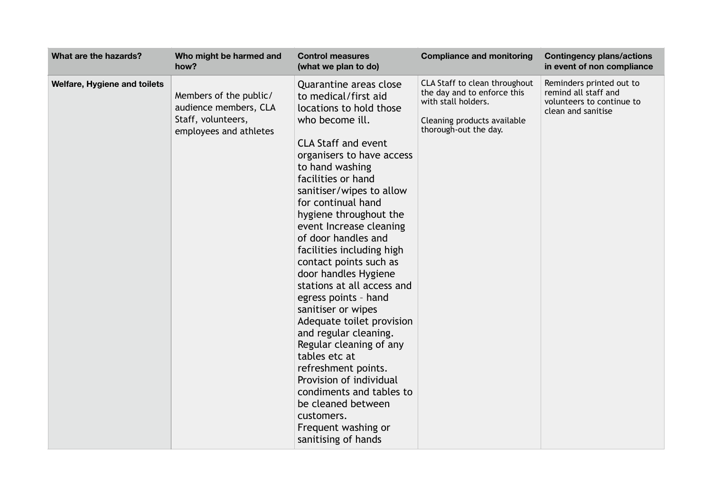| What are the hazards?        | Who might be harmed and<br>how?                                                                 | <b>Control measures</b><br>(what we plan to do)                                                                                                                                                                                                                                                                                                                                                                                                                                                                                                                                                                                                                                                                                                             | <b>Compliance and monitoring</b>                                                                                                            | <b>Contingency plans/actions</b><br>in event of non compliance                                      |
|------------------------------|-------------------------------------------------------------------------------------------------|-------------------------------------------------------------------------------------------------------------------------------------------------------------------------------------------------------------------------------------------------------------------------------------------------------------------------------------------------------------------------------------------------------------------------------------------------------------------------------------------------------------------------------------------------------------------------------------------------------------------------------------------------------------------------------------------------------------------------------------------------------------|---------------------------------------------------------------------------------------------------------------------------------------------|-----------------------------------------------------------------------------------------------------|
| Welfare, Hygiene and toilets | Members of the public/<br>audience members, CLA<br>Staff, volunteers,<br>employees and athletes | Quarantine areas close<br>to medical/first aid<br>locations to hold those<br>who become ill.<br><b>CLA Staff and event</b><br>organisers to have access<br>to hand washing<br>facilities or hand<br>sanitiser/wipes to allow<br>for continual hand<br>hygiene throughout the<br>event Increase cleaning<br>of door handles and<br>facilities including high<br>contact points such as<br>door handles Hygiene<br>stations at all access and<br>egress points - hand<br>sanitiser or wipes<br>Adequate toilet provision<br>and regular cleaning.<br>Regular cleaning of any<br>tables etc at<br>refreshment points.<br>Provision of individual<br>condiments and tables to<br>be cleaned between<br>customers.<br>Frequent washing or<br>sanitising of hands | CLA Staff to clean throughout<br>the day and to enforce this<br>with stall holders.<br>Cleaning products available<br>thorough-out the day. | Reminders printed out to<br>remind all staff and<br>volunteers to continue to<br>clean and sanitise |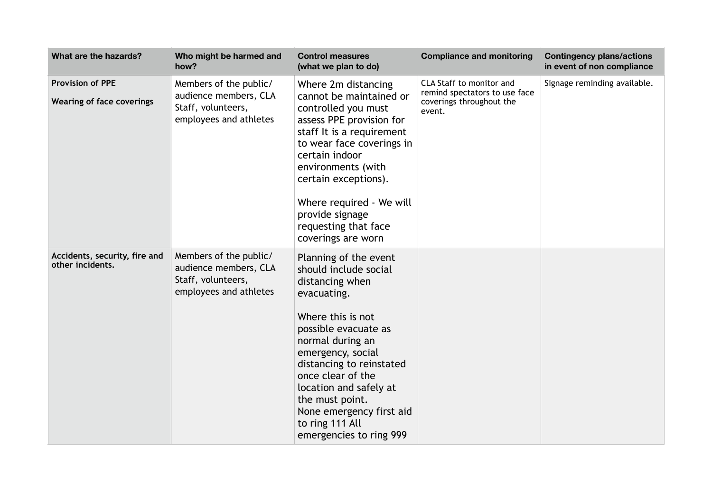| What are the hazards?                                       | Who might be harmed and<br>how?                                                                 | <b>Control measures</b><br>(what we plan to do)                                                                                                                                                                                                                                                                                                | <b>Compliance and monitoring</b>                                                                | <b>Contingency plans/actions</b><br>in event of non compliance |
|-------------------------------------------------------------|-------------------------------------------------------------------------------------------------|------------------------------------------------------------------------------------------------------------------------------------------------------------------------------------------------------------------------------------------------------------------------------------------------------------------------------------------------|-------------------------------------------------------------------------------------------------|----------------------------------------------------------------|
| <b>Provision of PPE</b><br><b>Wearing of face coverings</b> | Members of the public/<br>audience members, CLA<br>Staff, volunteers,<br>employees and athletes | Where 2m distancing<br>cannot be maintained or<br>controlled you must<br>assess PPE provision for<br>staff It is a requirement<br>to wear face coverings in<br>certain indoor<br>environments (with<br>certain exceptions).<br>Where required - We will<br>provide signage<br>requesting that face<br>coverings are worn                       | CLA Staff to monitor and<br>remind spectators to use face<br>coverings throughout the<br>event. | Signage reminding available.                                   |
| Accidents, security, fire and<br>other incidents.           | Members of the public/<br>audience members, CLA<br>Staff, volunteers,<br>employees and athletes | Planning of the event<br>should include social<br>distancing when<br>evacuating.<br>Where this is not<br>possible evacuate as<br>normal during an<br>emergency, social<br>distancing to reinstated<br>once clear of the<br>location and safely at<br>the must point.<br>None emergency first aid<br>to ring 111 All<br>emergencies to ring 999 |                                                                                                 |                                                                |